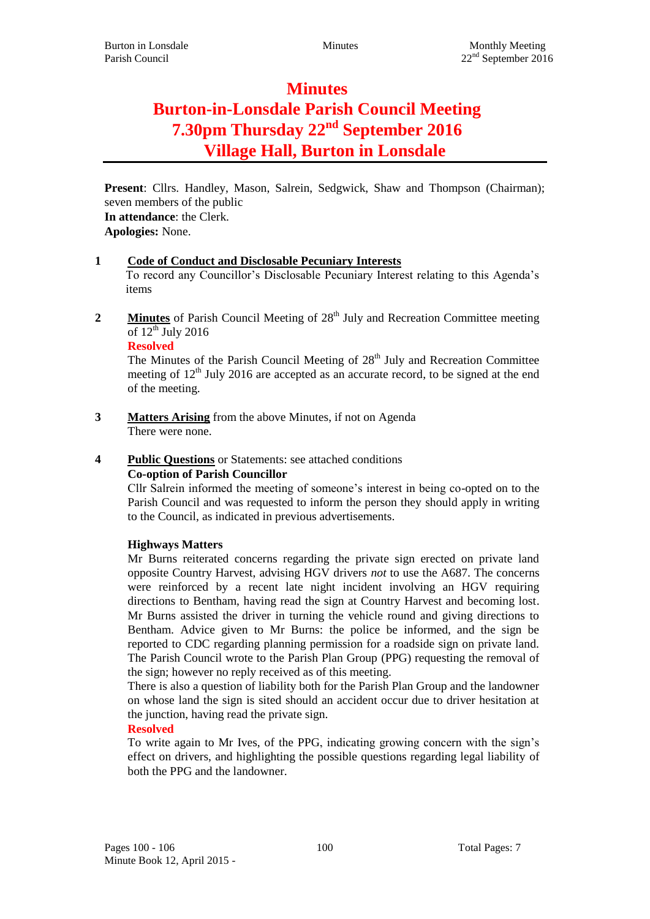## **Minutes**

# **Burton-in-Lonsdale Parish Council Meeting 7.30pm Thursday 22nd September 2016 Village Hall, Burton in Lonsdale**

**Present**: Cllrs. Handley, Mason, Salrein, Sedgwick, Shaw and Thompson (Chairman); seven members of the public

**In attendance**: the Clerk. **Apologies:** None.

## **1 Code of Conduct and Disclosable Pecuniary Interests**

To record any Councillor's Disclosable Pecuniary Interest relating to this Agenda's items

**2 Minutes** of Parish Council Meeting of 28<sup>th</sup> July and Recreation Committee meeting of  $12^{th}$  July 2016

The Minutes of the Parish Council Meeting of 28<sup>th</sup> July and Recreation Committee meeting of  $12<sup>th</sup>$  July 2016 are accepted as an accurate record, to be signed at the end of the meeting.

**3 Matters Arising** from the above Minutes, if not on Agenda There were none.

## **4 Public Questions** or Statements: see attached conditions

## **Co-option of Parish Councillor**

Cllr Salrein informed the meeting of someone's interest in being co-opted on to the Parish Council and was requested to inform the person they should apply in writing to the Council, as indicated in previous advertisements.

## **Highways Matters**

Mr Burns reiterated concerns regarding the private sign erected on private land opposite Country Harvest, advising HGV drivers *not* to use the A687. The concerns were reinforced by a recent late night incident involving an HGV requiring directions to Bentham, having read the sign at Country Harvest and becoming lost. Mr Burns assisted the driver in turning the vehicle round and giving directions to Bentham. Advice given to Mr Burns: the police be informed, and the sign be reported to CDC regarding planning permission for a roadside sign on private land. The Parish Council wrote to the Parish Plan Group (PPG) requesting the removal of the sign; however no reply received as of this meeting.

There is also a question of liability both for the Parish Plan Group and the landowner on whose land the sign is sited should an accident occur due to driver hesitation at the junction, having read the private sign.

## **Resolved**

To write again to Mr Ives, of the PPG, indicating growing concern with the sign's effect on drivers, and highlighting the possible questions regarding legal liability of both the PPG and the landowner.

**Resolved**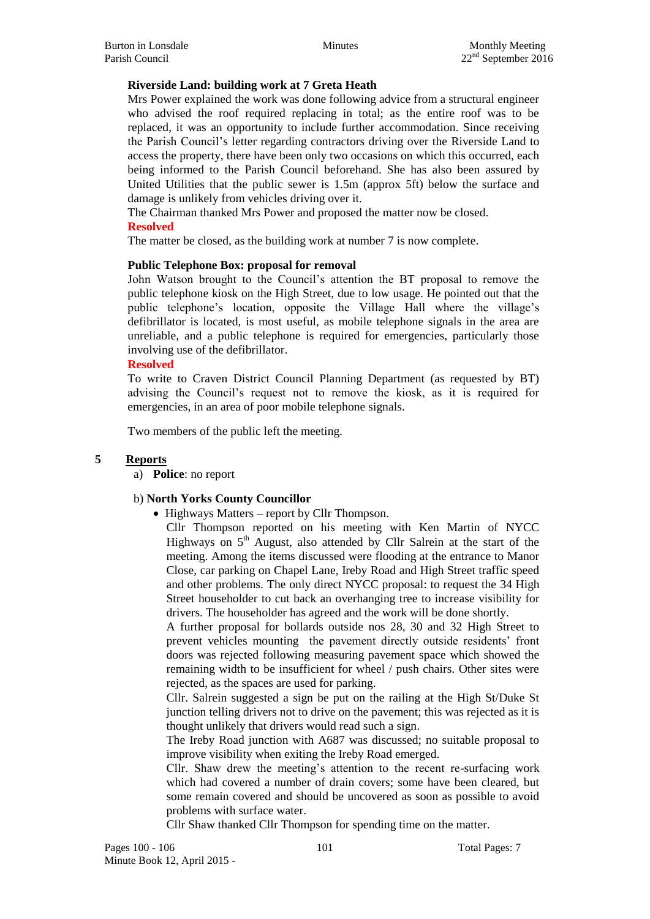#### **Riverside Land: building work at 7 Greta Heath**

Mrs Power explained the work was done following advice from a structural engineer who advised the roof required replacing in total; as the entire roof was to be replaced, it was an opportunity to include further accommodation. Since receiving the Parish Council's letter regarding contractors driving over the Riverside Land to access the property, there have been only two occasions on which this occurred, each being informed to the Parish Council beforehand. She has also been assured by United Utilities that the public sewer is 1.5m (approx 5ft) below the surface and damage is unlikely from vehicles driving over it.

The Chairman thanked Mrs Power and proposed the matter now be closed. **Resolved**

The matter be closed, as the building work at number 7 is now complete.

#### **Public Telephone Box: proposal for removal**

John Watson brought to the Council's attention the BT proposal to remove the public telephone kiosk on the High Street, due to low usage. He pointed out that the public telephone's location, opposite the Village Hall where the village's defibrillator is located, is most useful, as mobile telephone signals in the area are unreliable, and a public telephone is required for emergencies, particularly those involving use of the defibrillator.

#### **Resolved**

To write to Craven District Council Planning Department (as requested by BT) advising the Council's request not to remove the kiosk, as it is required for emergencies, in an area of poor mobile telephone signals.

Two members of the public left the meeting.

#### **5 Reports**

a) **Police**: no report

#### b) **North Yorks County Councillor**

• Highways Matters – report by Cllr Thompson.

Cllr Thompson reported on his meeting with Ken Martin of NYCC Highways on  $5<sup>th</sup>$  August, also attended by Cllr Salrein at the start of the meeting. Among the items discussed were flooding at the entrance to Manor Close, car parking on Chapel Lane, Ireby Road and High Street traffic speed and other problems. The only direct NYCC proposal: to request the 34 High Street householder to cut back an overhanging tree to increase visibility for drivers. The householder has agreed and the work will be done shortly.

A further proposal for bollards outside nos 28, 30 and 32 High Street to prevent vehicles mounting the pavement directly outside residents' front doors was rejected following measuring pavement space which showed the remaining width to be insufficient for wheel / push chairs. Other sites were rejected, as the spaces are used for parking.

Cllr. Salrein suggested a sign be put on the railing at the High St/Duke St junction telling drivers not to drive on the pavement; this was rejected as it is thought unlikely that drivers would read such a sign.

The Ireby Road junction with A687 was discussed; no suitable proposal to improve visibility when exiting the Ireby Road emerged.

Cllr. Shaw drew the meeting's attention to the recent re-surfacing work which had covered a number of drain covers; some have been cleared, but some remain covered and should be uncovered as soon as possible to avoid problems with surface water.

Cllr Shaw thanked Cllr Thompson for spending time on the matter.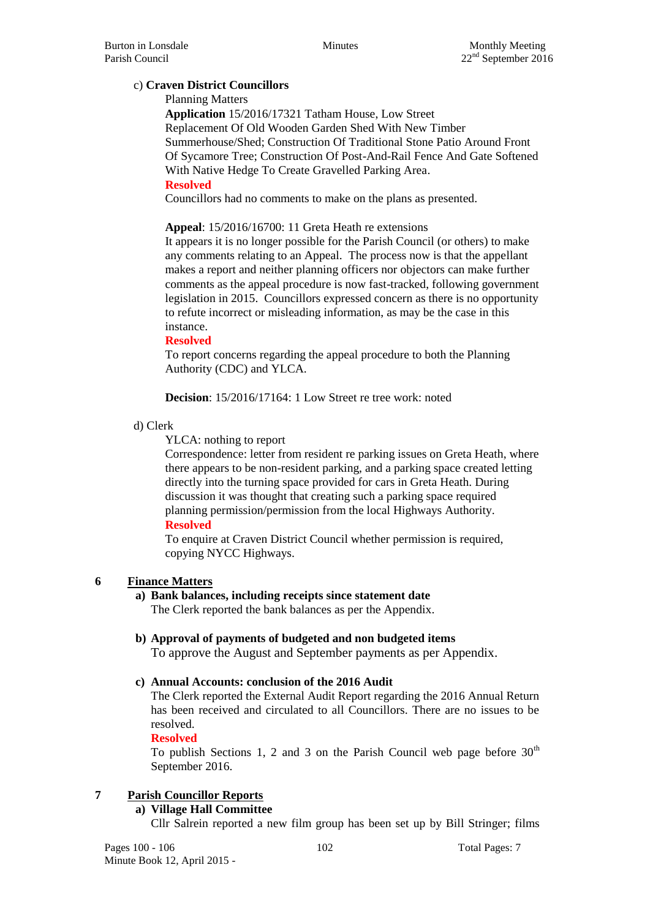## c) **Craven District Councillors**

Planning Matters

**Application** 15/2016/17321 Tatham House, Low Street Replacement Of Old Wooden Garden Shed With New Timber Summerhouse/Shed; Construction Of Traditional Stone Patio Around Front Of Sycamore Tree; Construction Of Post-And-Rail Fence And Gate Softened With Native Hedge To Create Gravelled Parking Area. **Resolved**

Councillors had no comments to make on the plans as presented.

**Appeal**: 15/2016/16700: 11 Greta Heath re extensions

It appears it is no longer possible for the Parish Council (or others) to make any comments relating to an Appeal. The process now is that the appellant makes a report and neither planning officers nor objectors can make further comments as the appeal procedure is now fast-tracked, following government legislation in 2015. Councillors expressed concern as there is no opportunity to refute incorrect or misleading information, as may be the case in this instance.

#### **Resolved**

To report concerns regarding the appeal procedure to both the Planning Authority (CDC) and YLCA.

**Decision**: 15/2016/17164: 1 Low Street re tree work: noted

#### d) Clerk

YLCA: nothing to report

Correspondence: letter from resident re parking issues on Greta Heath, where there appears to be non-resident parking, and a parking space created letting directly into the turning space provided for cars in Greta Heath. During discussion it was thought that creating such a parking space required planning permission/permission from the local Highways Authority.

#### **Resolved**

To enquire at Craven District Council whether permission is required, copying NYCC Highways.

## **6 Finance Matters**

## **a) Bank balances, including receipts since statement date**

The Clerk reported the bank balances as per the Appendix.

- **b) Approval of payments of budgeted and non budgeted items** To approve the August and September payments as per Appendix.
- **c) Annual Accounts: conclusion of the 2016 Audit**

The Clerk reported the External Audit Report regarding the 2016 Annual Return has been received and circulated to all Councillors. There are no issues to be resolved.

## **Resolved**

To publish Sections 1, 2 and 3 on the Parish Council web page before  $30<sup>th</sup>$ September 2016.

## **7 Parish Councillor Reports**

## **a) Village Hall Committee**

Cllr Salrein reported a new film group has been set up by Bill Stringer; films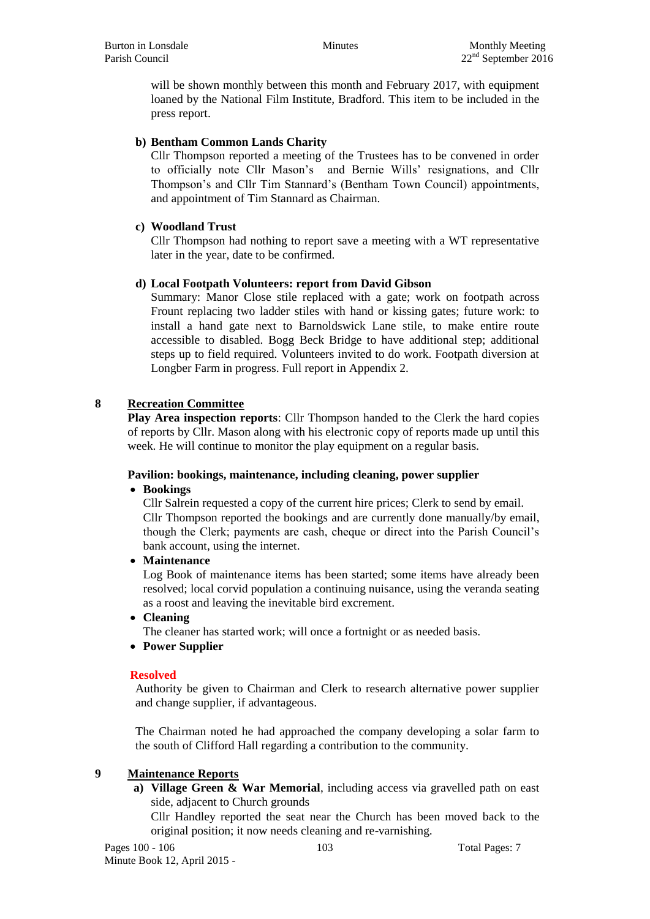will be shown monthly between this month and February 2017, with equipment loaned by the National Film Institute, Bradford. This item to be included in the press report.

## **b) Bentham Common Lands Charity**

Cllr Thompson reported a meeting of the Trustees has to be convened in order to officially note Cllr Mason's and Bernie Wills' resignations, and Cllr Thompson's and Cllr Tim Stannard's (Bentham Town Council) appointments, and appointment of Tim Stannard as Chairman.

## **c) Woodland Trust**

Cllr Thompson had nothing to report save a meeting with a WT representative later in the year, date to be confirmed.

## **d) Local Footpath Volunteers: report from David Gibson**

Summary: Manor Close stile replaced with a gate; work on footpath across Frount replacing two ladder stiles with hand or kissing gates; future work: to install a hand gate next to Barnoldswick Lane stile, to make entire route accessible to disabled. Bogg Beck Bridge to have additional step; additional steps up to field required. Volunteers invited to do work. Footpath diversion at Longber Farm in progress. Full report in Appendix 2.

## **8 Recreation Committee**

**Play Area inspection reports**: Cllr Thompson handed to the Clerk the hard copies of reports by Cllr. Mason along with his electronic copy of reports made up until this week. He will continue to monitor the play equipment on a regular basis.

## **Pavilion: bookings, maintenance, including cleaning, power supplier**

## **Bookings**

Cllr Salrein requested a copy of the current hire prices; Clerk to send by email. Cllr Thompson reported the bookings and are currently done manually/by email, though the Clerk; payments are cash, cheque or direct into the Parish Council's bank account, using the internet.

## **Maintenance**

Log Book of maintenance items has been started; some items have already been resolved; local corvid population a continuing nuisance, using the veranda seating as a roost and leaving the inevitable bird excrement.

**Cleaning**

The cleaner has started work; will once a fortnight or as needed basis.

## **Power Supplier**

## **Resolved**

Authority be given to Chairman and Clerk to research alternative power supplier and change supplier, if advantageous.

The Chairman noted he had approached the company developing a solar farm to the south of Clifford Hall regarding a contribution to the community.

## **9 Maintenance Reports**

**a) Village Green & War Memorial**, including access via gravelled path on east side, adjacent to Church grounds

Cllr Handley reported the seat near the Church has been moved back to the original position; it now needs cleaning and re-varnishing.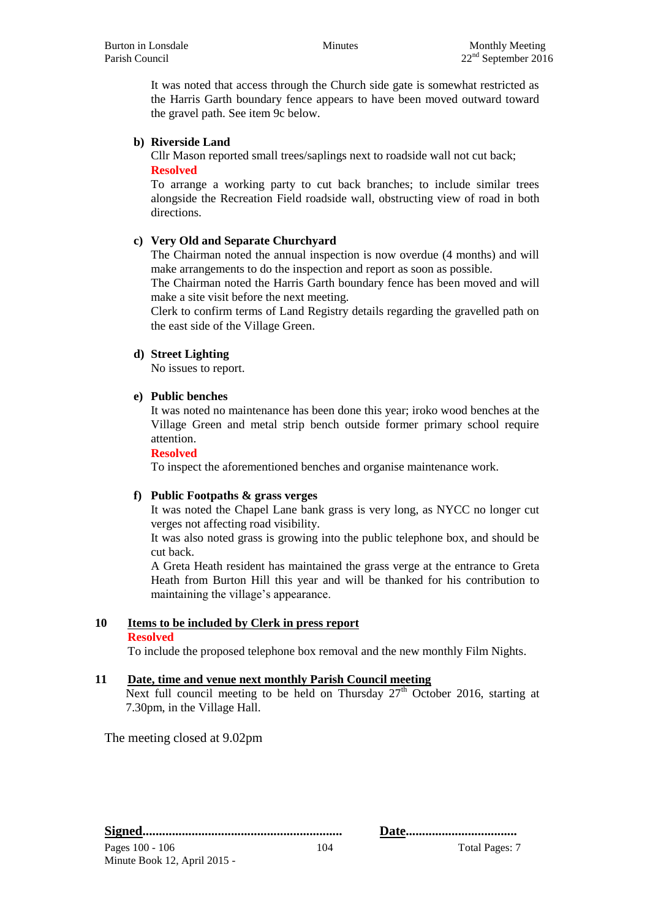It was noted that access through the Church side gate is somewhat restricted as the Harris Garth boundary fence appears to have been moved outward toward the gravel path. See item 9c below.

#### **b) Riverside Land**

Cllr Mason reported small trees/saplings next to roadside wall not cut back; **Resolved**

To arrange a working party to cut back branches; to include similar trees alongside the Recreation Field roadside wall, obstructing view of road in both directions.

#### **c) Very Old and Separate Churchyard**

The Chairman noted the annual inspection is now overdue (4 months) and will make arrangements to do the inspection and report as soon as possible.

The Chairman noted the Harris Garth boundary fence has been moved and will make a site visit before the next meeting.

Clerk to confirm terms of Land Registry details regarding the gravelled path on the east side of the Village Green.

#### **d) Street Lighting**

No issues to report.

#### **e) Public benches**

It was noted no maintenance has been done this year; iroko wood benches at the Village Green and metal strip bench outside former primary school require attention.

#### **Resolved**

To inspect the aforementioned benches and organise maintenance work.

#### **f) Public Footpaths & grass verges**

It was noted the Chapel Lane bank grass is very long, as NYCC no longer cut verges not affecting road visibility.

It was also noted grass is growing into the public telephone box, and should be cut back.

A Greta Heath resident has maintained the grass verge at the entrance to Greta Heath from Burton Hill this year and will be thanked for his contribution to maintaining the village's appearance.

## **10 Items to be included by Clerk in press report**

#### **Resolved**

To include the proposed telephone box removal and the new monthly Film Nights.

#### **11 Date, time and venue next monthly Parish Council meeting**

Next full council meeting to be held on Thursday  $27<sup>th</sup>$  October 2016, starting at 7.30pm, in the Village Hall.

The meeting closed at 9.02pm

**Signed............................................................. Date..................................**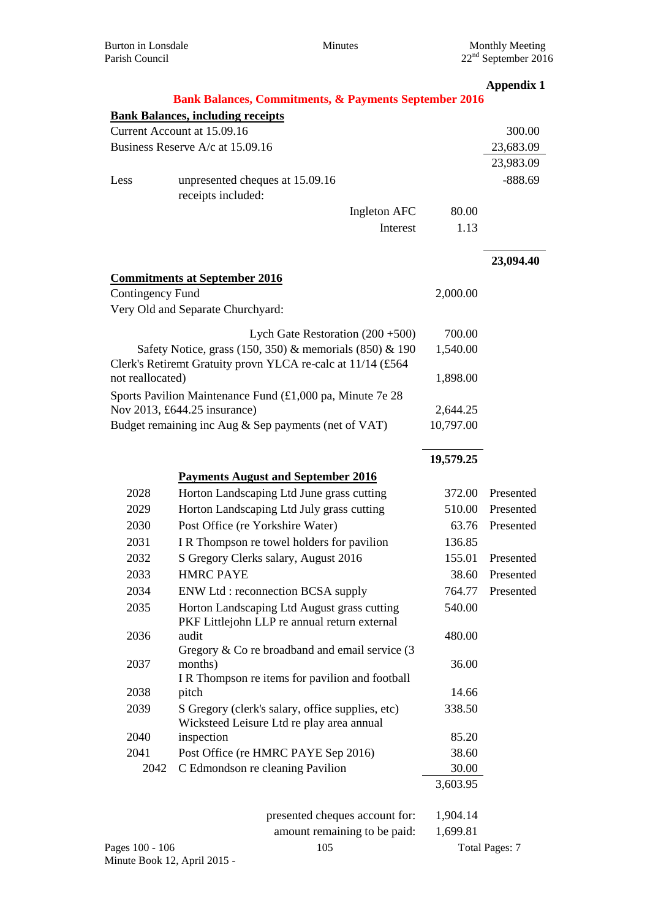|                                                      |                                                                  |           | <b>Appendix 1</b>     |
|------------------------------------------------------|------------------------------------------------------------------|-----------|-----------------------|
|                                                      | <b>Bank Balances, Commitments, &amp; Payments September 2016</b> |           |                       |
|                                                      | <b>Bank Balances, including receipts</b>                         |           |                       |
|                                                      | Current Account at 15.09.16                                      |           | 300.00                |
|                                                      | Business Reserve A/c at 15.09.16                                 |           | 23,683.09             |
|                                                      |                                                                  |           | 23,983.09             |
| Less                                                 | unpresented cheques at 15.09.16                                  |           | $-888.69$             |
|                                                      | receipts included:                                               |           |                       |
|                                                      | Ingleton AFC                                                     | 80.00     |                       |
|                                                      | Interest                                                         | 1.13      |                       |
|                                                      |                                                                  |           |                       |
|                                                      |                                                                  |           | 23,094.40             |
|                                                      | <b>Commitments at September 2016</b>                             |           |                       |
| <b>Contingency Fund</b>                              |                                                                  | 2,000.00  |                       |
|                                                      | Very Old and Separate Churchyard:                                |           |                       |
|                                                      |                                                                  |           |                       |
|                                                      | Lych Gate Restoration $(200 + 500)$                              | 700.00    |                       |
|                                                      | Safety Notice, grass (150, 350) & memorials (850) & 190          | 1,540.00  |                       |
|                                                      | Clerk's Retiremt Gratuity provn YLCA re-calc at 11/14 (£564      |           |                       |
| not reallocated)                                     |                                                                  | 1,898.00  |                       |
|                                                      | Sports Pavilion Maintenance Fund $(£1,000$ pa, Minute 7e 28      |           |                       |
| Nov 2013, £644.25 insurance)                         |                                                                  | 2,644.25  |                       |
| Budget remaining inc Aug & Sep payments (net of VAT) |                                                                  | 10,797.00 |                       |
|                                                      |                                                                  |           |                       |
|                                                      |                                                                  | 19,579.25 |                       |
|                                                      | <b>Payments August and September 2016</b>                        |           |                       |
| 2028                                                 | Horton Landscaping Ltd June grass cutting                        | 372.00    | Presented             |
| 2029                                                 | Horton Landscaping Ltd July grass cutting                        | 510.00    | Presented             |
| 2030                                                 | Post Office (re Yorkshire Water)                                 | 63.76     | Presented             |
| 2031                                                 | IR Thompson re towel holders for pavilion                        | 136.85    |                       |
|                                                      |                                                                  | 155.01    |                       |
| 2032                                                 | S Gregory Clerks salary, August 2016                             |           | Presented             |
| 2033                                                 | <b>HMRC PAYE</b>                                                 | 38.60     | Presented             |
| 2034                                                 | ENW Ltd : reconnection BCSA supply                               | 764.77    | Presented             |
| 2035                                                 | Horton Landscaping Ltd August grass cutting                      | 540.00    |                       |
|                                                      | PKF Littlejohn LLP re annual return external                     |           |                       |
| 2036                                                 | audit<br>Gregory $\&$ Co re broadband and email service (3)      | 480.00    |                       |
| 2037                                                 | months)                                                          | 36.00     |                       |
|                                                      | IR Thompson re items for pavilion and football                   |           |                       |
| 2038                                                 | pitch                                                            | 14.66     |                       |
| 2039                                                 | S Gregory (clerk's salary, office supplies, etc)                 | 338.50    |                       |
|                                                      | Wicksteed Leisure Ltd re play area annual                        |           |                       |
| 2040                                                 | inspection                                                       | 85.20     |                       |
| 2041                                                 | Post Office (re HMRC PAYE Sep 2016)                              | 38.60     |                       |
| 2042                                                 | C Edmondson re cleaning Pavilion                                 | 30.00     |                       |
|                                                      |                                                                  | 3,603.95  |                       |
|                                                      |                                                                  |           |                       |
|                                                      | presented cheques account for:                                   | 1,904.14  |                       |
|                                                      | amount remaining to be paid:                                     | 1,699.81  |                       |
| Pages 100 - 106                                      | 105                                                              |           | <b>Total Pages: 7</b> |